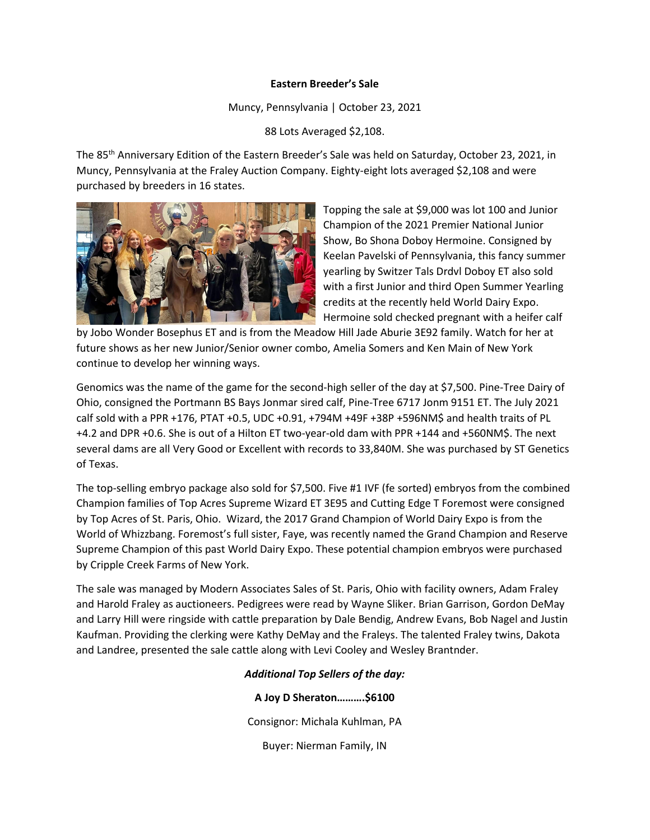# **Eastern Breeder's Sale**

Muncy, Pennsylvania | October 23, 2021

88 Lots Averaged \$2,108.

The 85th Anniversary Edition of the Eastern Breeder's Sale was held on Saturday, October 23, 2021, in Muncy, Pennsylvania at the Fraley Auction Company. Eighty-eight lots averaged \$2,108 and were purchased by breeders in 16 states.



Topping the sale at \$9,000 was lot 100 and Junior Champion of the 2021 Premier National Junior Show, Bo Shona Doboy Hermoine. Consigned by Keelan Pavelski of Pennsylvania, this fancy summer yearling by Switzer Tals Drdvl Doboy ET also sold with a first Junior and third Open Summer Yearling credits at the recently held World Dairy Expo. Hermoine sold checked pregnant with a heifer calf

by Jobo Wonder Bosephus ET and is from the Meadow Hill Jade Aburie 3E92 family. Watch for her at future shows as her new Junior/Senior owner combo, Amelia Somers and Ken Main of New York continue to develop her winning ways.

Genomics was the name of the game for the second-high seller of the day at \$7,500. Pine-Tree Dairy of Ohio, consigned the Portmann BS Bays Jonmar sired calf, Pine-Tree 6717 Jonm 9151 ET. The July 2021 calf sold with a PPR +176, PTAT +0.5, UDC +0.91, +794M +49F +38P +596NM\$ and health traits of PL +4.2 and DPR +0.6. She is out of a Hilton ET two-year-old dam with PPR +144 and +560NM\$. The next several dams are all Very Good or Excellent with records to 33,840M. She was purchased by ST Genetics of Texas.

The top-selling embryo package also sold for \$7,500. Five #1 IVF (fe sorted) embryos from the combined Champion families of Top Acres Supreme Wizard ET 3E95 and Cutting Edge T Foremost were consigned by Top Acres of St. Paris, Ohio. Wizard, the 2017 Grand Champion of World Dairy Expo is from the World of Whizzbang. Foremost's full sister, Faye, was recently named the Grand Champion and Reserve Supreme Champion of this past World Dairy Expo. These potential champion embryos were purchased by Cripple Creek Farms of New York.

The sale was managed by Modern Associates Sales of St. Paris, Ohio with facility owners, Adam Fraley and Harold Fraley as auctioneers. Pedigrees were read by Wayne Sliker. Brian Garrison, Gordon DeMay and Larry Hill were ringside with cattle preparation by Dale Bendig, Andrew Evans, Bob Nagel and Justin Kaufman. Providing the clerking were Kathy DeMay and the Fraleys. The talented Fraley twins, Dakota and Landree, presented the sale cattle along with Levi Cooley and Wesley Brantnder.

# *Additional Top Sellers of the day:*

**A Joy D Sheraton……….\$6100**

Consignor: Michala Kuhlman, PA

Buyer: Nierman Family, IN